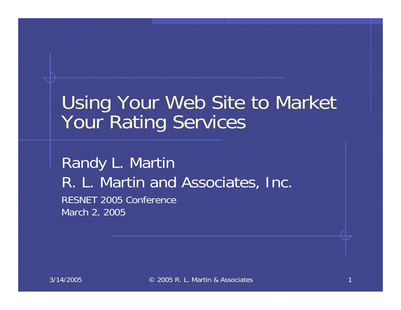#### Using Your Web Site to Market Your Rating Services

Randy L. Martin R. L. Martin and Associates, Inc. RESNET 2005 Conference March 2, 2005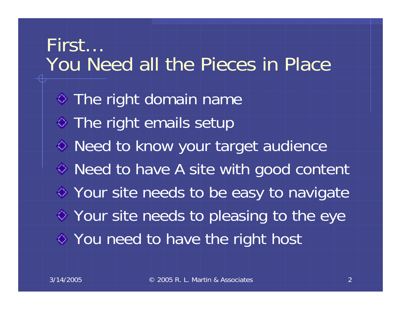First… You Need all the Pieces in Place $\diamond$  The right domain name  $\diamond$  The right emails setup  $\diamond$  Need to know your target audience ◆ Need to have A site with good content Your site needs to be easy to navigate Your site needs to pleasing to the eye You need to have the right host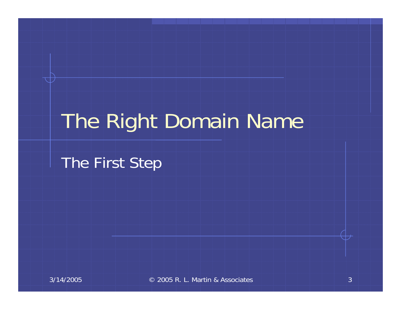## The Right Domain Name

The First Step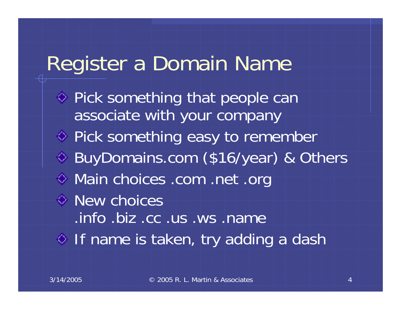#### Register a Domain Name

 $\Diamond$  Pick something that people can associate with your company ♦ Pick something easy to remember BuyDomains.com (\$16/year) & Others Main choices .com .net .org **♦ New choices** .info .biz .cc .us .ws .name  $\Diamond$  If name is taken, try adding a dash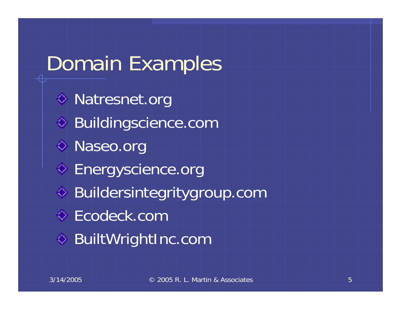# Domain Examples **♦ Natresnet.org** ◆ Buildingscience.com ◆ Naseo.org ◆ Energyscience.org Buildersintegritygroup.com Ecodeck.com **♦ BuiltWrightInc.com**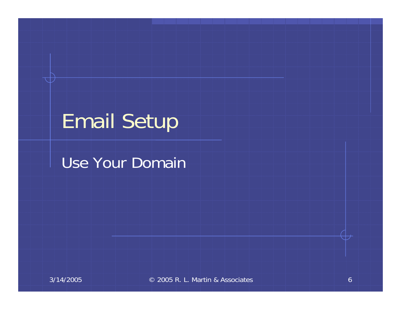## Email Setup

#### Use Your Domain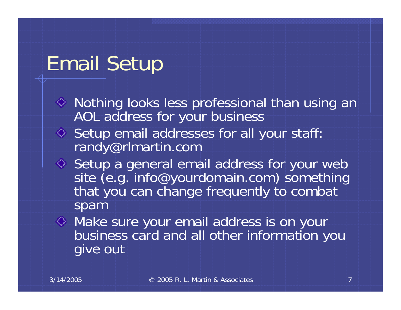### Email Setup

- Nothing looks less professional than using an AOL address for your business
- ♦ Setup email addresses for all your staff: randy@rlmartin.com
- Setup a general email address for your web<br>site (e.g. info@yourdomain.com) something that you can change frequently to combat spam
- Make sure your email address is on your business card and all other information you give out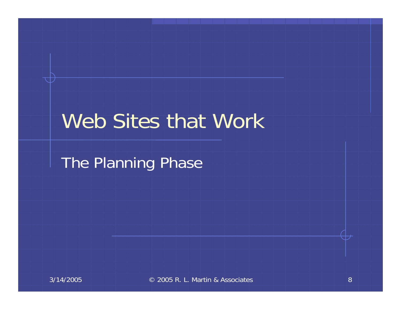#### Web Sites that Work

The Planning Phase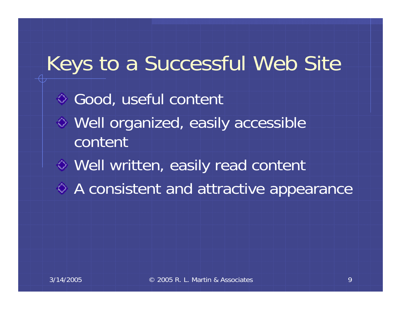# Keys to a Successful Web Site ◆ Good, useful content Well organized, easily accessible contentWell written, easily read content A consistent and attractive appearance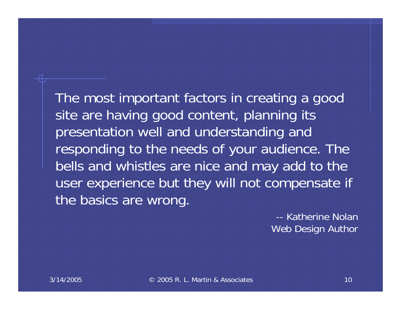The most important factors in creating a good site are having good content, planning its presentation well and understanding and responding to the needs of your audience. The bells and whistles are nice and may add to the user experience but they will not compensate if the basics are wrong.

> -- Katherine NolanWeb Design Author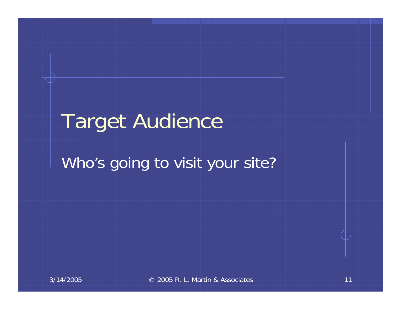## Target Audience

#### Who's going to visit your site?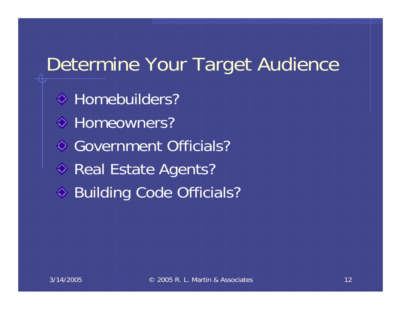#### Determine Your Target Audience

◆ Homebuilders? ◆ Homeowners? Government Officials?◆ Real Estate Agents? ◆ Building Code Officials?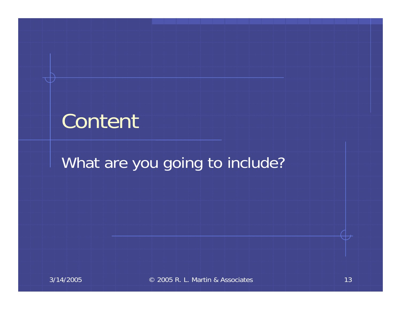## Content

#### What are you going to include?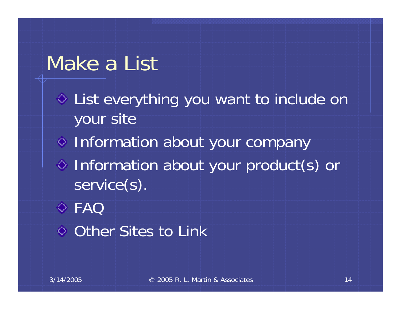#### Make a List

List everything you want to include on your site

- $\diamond$  Information about your company
- Information about your product(s) or service(s).
- FAQ
- **♦ Other Sites to Link**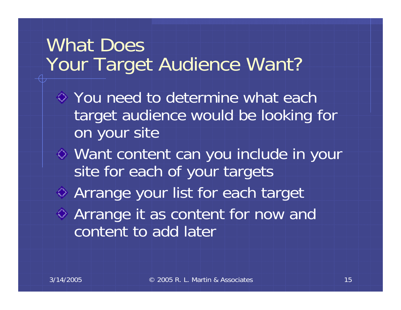#### What Does Your Target Audience Want?

- $\diamond$  You need to determine what each target audience would be looking for on your site
- Want content can you include in your site for each of your targets Arrange your list for each target Arrange it as content for now and
	- content to add later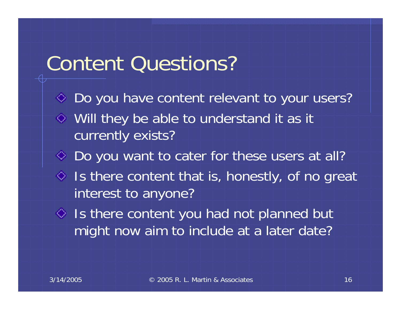#### Content Questions?

- ◆ Do you have content relevant to your users? Will they be able to understand it as it currently exists? ◆ Do you want to cater for these users at all?  $\Diamond$  Is there content that is, honestly, of no great interest to anyone?  $\Diamond$  Is there content you had not planned but
	- might now aim to include at a later date?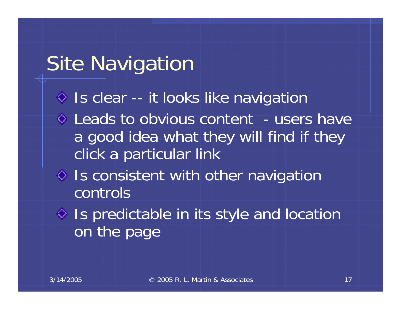### Site Navigation

- $\Diamond$  Is clear -- it looks like navigation
- $\circ$  Leads to obvious content users have a good idea what they will find if they click a particular link
- $\Diamond$  Is consistent with other navigation controls
- $\Diamond$  Is predictable in its style and location on the page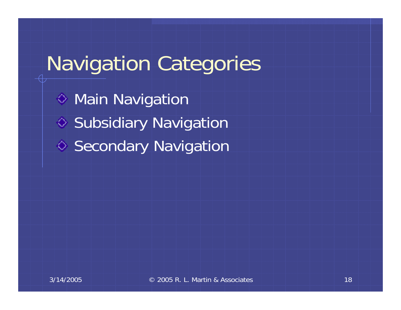# Navigation Categories

**♦ Main Navigation** ♦ Subsidiary Navigation **◆ Secondary Navigation**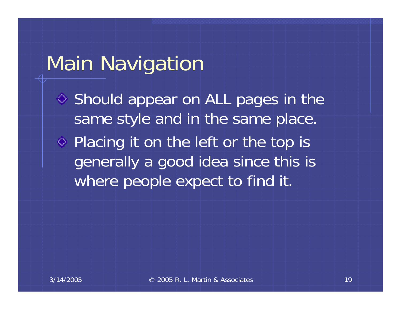#### Main Navigation

♦ Should appear on ALL pages in the same style and in the same place.

◆ Placing it on the left or the top is generally a good idea since this is where people expect to find it.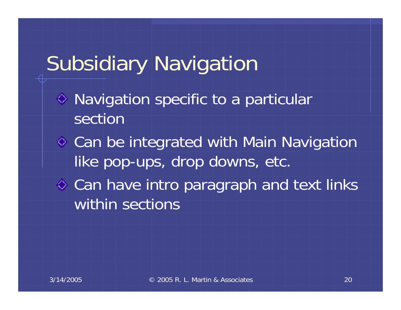## Subsidiary Navigation

- Navigation specific to a particular section
- Can be integrated with Main Navigation like pop-ups, drop downs, etc.
- $\diamond$  Can have intro paragraph and text links within sections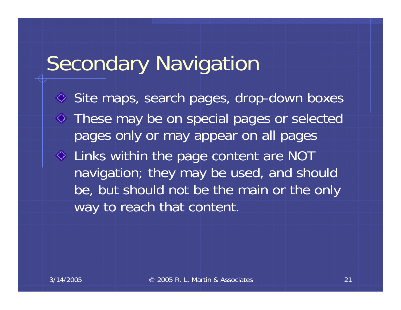### Secondary Navigation

◆ Site maps, search pages, drop-down boxes These may be on special pages or selected pages only or may appear on all pages Links within the page content are NOT navigation; they may be used, and should be, but should not be the main or the only way to reach that content.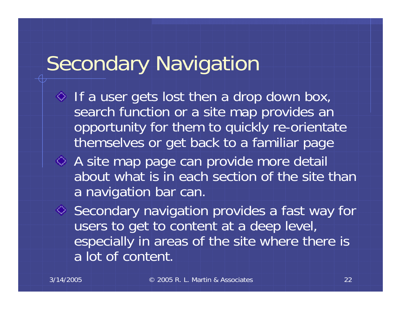## Secondary Navigation

- $\Diamond$  If a user gets lost then a drop down box, search function or a site map provides an opportunity for them to quickly re-orientate themselves or get back to a familiar page
- A site map page can provide more detail about what is in each section of the site than a navigation bar can.

◆ Secondary navigation provides a fast way for users to get to content at a deep level, especially in areas of the site where there is a lot of content.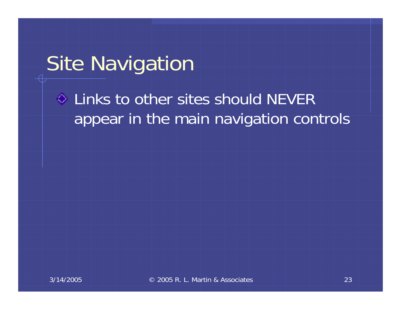### Site Navigation

#### $\Diamond$  Links to other sites should NEVER appear in the main navigation controls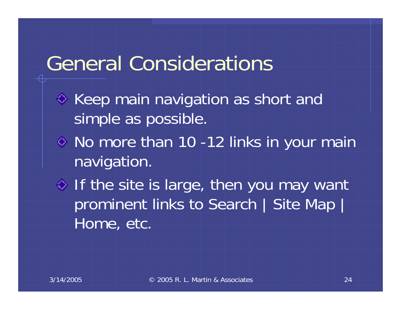#### General Considerations

- $\Diamond$  Keep main navigation as short and simple as possible.
- No more than 10 -12 links in your main navigation.
- $\Diamond$  If the site is large, then you may want prominent links to Search | Site Map | Home, etc.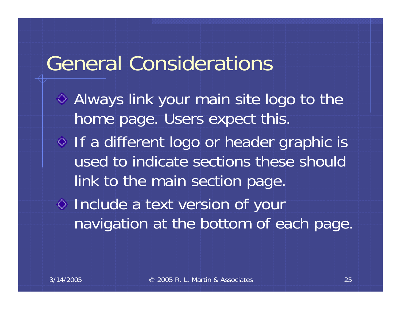#### General Considerations

Always link your main site logo to the home page. Users expect this. o If a different logo or header graphic is used to indicate sections these should link to the main section page. Include a text version of your navigation at the bottom of each page.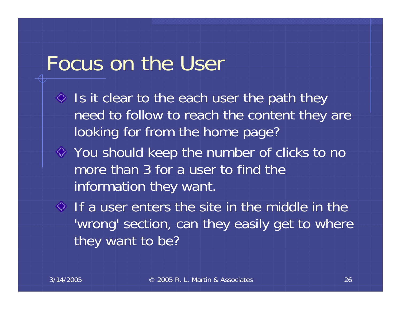#### Focus on the User

- $\Diamond$  Is it clear to the each user the path they need to follow to reach the content they are looking for from the home page?
- You should keep the number of clicks to no more than 3 for a user to find the information they want.
- $\Diamond$  If a user enters the site in the middle in the 'wrong' section, can they easily get to where they want to be?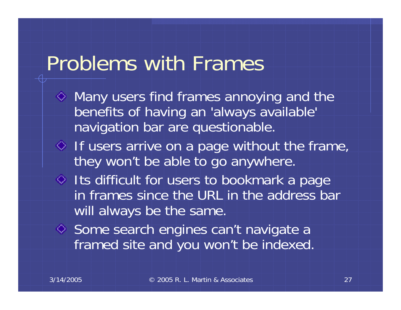#### Problems with Frames

- $\Diamond$  Many users find frames annoying and the benefits of having an 'always available' navigation bar are questionable.
- $\Diamond$  If users arrive on a page without the frame, they won't be able to go anywhere.
- $\Diamond$  Its difficult for users to bookmark a page in frames since the URL in the address bar will always be the same.
- ♦ Some search engines can't navigate a framed site and you won't be indexed.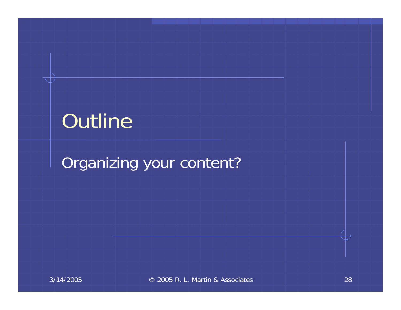## Outline

#### Organizing your content?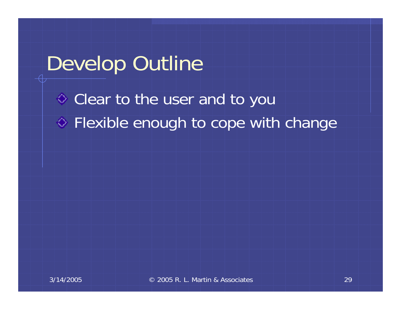#### Develop Outline

Clear to the user and to you  $\diamond$  Flexible enough to cope with change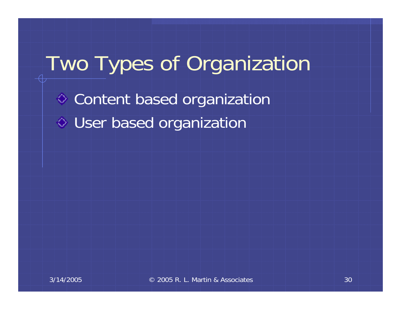# Two Types of Organization **♦ Content based organization** User based organization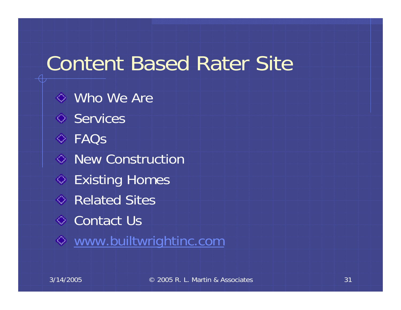#### Content Based Rater Site

Who We AreServices FAQs◆ New Construction **◆ Existing Homes** Related Sites**↓ Contact Us** [www.builtwrightinc.com](http://www.builtwrightinc.com/)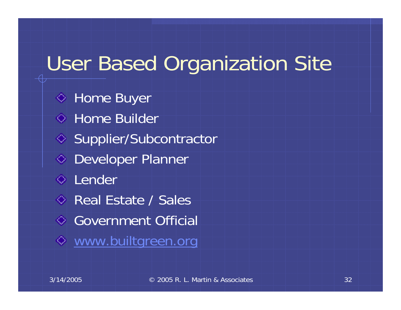## User Based Organization Site

**♦ Home Buyer ↓ Home Builder** ◆ Supplier/Subcontractor ◆ Developer Planner **↓** Lender Real Estate / Sales Government Official [www.builtgreen.org](http://www.builtgreen.org/)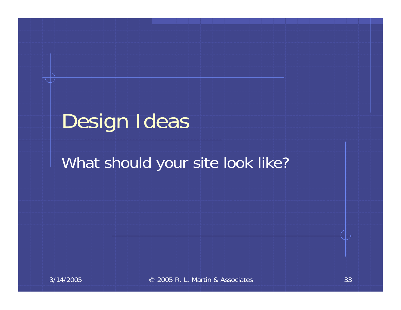## Design Ideas

#### What should your site look like?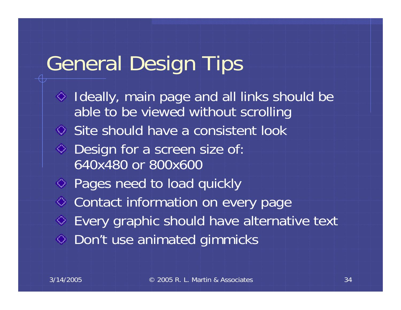#### General Design Tips

 $\Diamond$  Ideally, main page and all links should be able to be viewed without scrolling Site should have a consistent look ◆ Design for a screen size of: 640x480 or 800x600Pages need to load quickly **♦ Contact information on every page** Every graphic should have alternative text Don't use animated gimmicks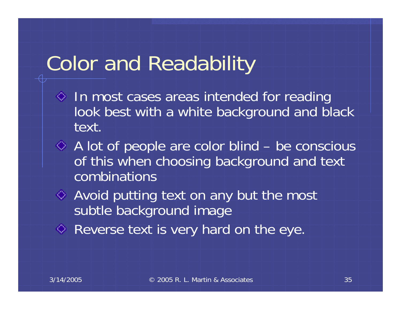## Color and Readability

- $\Diamond$  In most cases areas intended for reading look best with a white background and black text.
- A lot of people are color blind be conscious of this when choosing background and text combinations
- Avoid putting text on any but the most subtle background image
- Reverse text is very hard on the eye.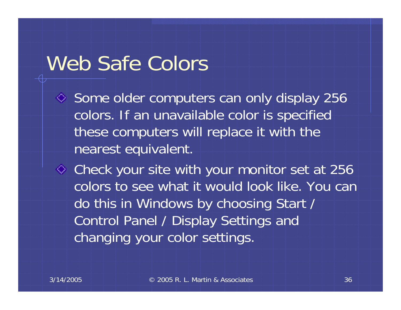#### Web Safe Colors

 $\Diamond$  Some older computers can only display 256 colors. If an unavailable color is specified these computers will replace it with the nearest equivalent.

Check your site with your monitor set at 256 colors to see what it would look like. You can do this in Windows by choosing Start / Control Panel / Display Settings and changing your color settings.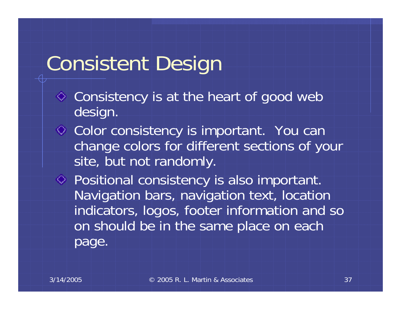# Consistent Design

- Consistency is at the heart of good web design.
- **◇ Color consistency is important.** You can change colors for different sections of your site, but not randomly.
- Positional consistency is also important. Navigation bars, navigation text, location indicators, logos, footer information and so on should be in the same place on each page.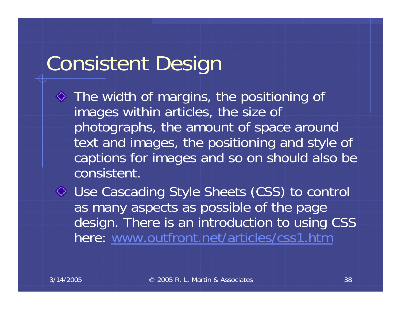# Consistent Design

 $\Diamond$  The width of margins, the positioning of images within articles, the size of photographs, the amount of space around text and images, the positioning and style of captions for images and so on should also be consistent.

Use Cascading Style Sheets (CSS) to control as many aspects as possible of the page design. There is an introduction to using CSS here: [www.outfront.net/articles/css1.htm](http://www.outfront.net/articles/css1.htm)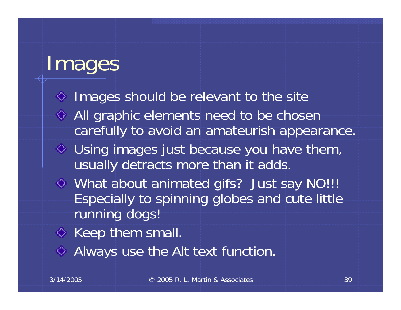## Images

- $\Diamond$  Images should be relevant to the site ◆ All graphic elements need to be chosen carefully to avoid an amateurish appearance. Using images just because you have them, usually detracts more than it adds. What about animated gifs? Just say NO!!! Especially to spinning globes and cute little running dogs!
- $\Diamond$  Keep them small.
- Always use the Alt text function.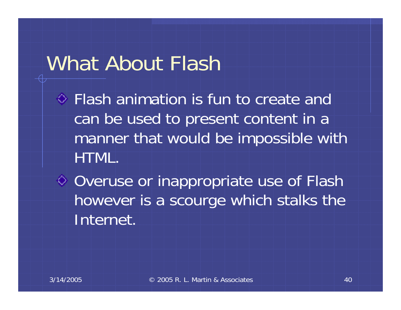## What About Flash

Flash animation is fun to create and can be used to present content in a manner that would be impossible with HTML.

♦ Overuse or inappropriate use of Flash however is a scourge which stalks the Internet.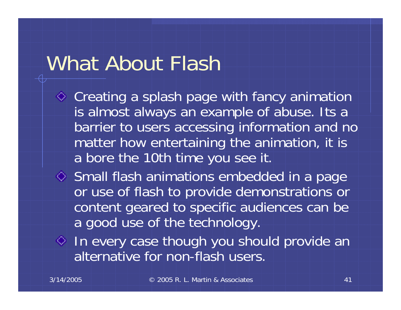## What About Flash

- ◆ Creating a splash page with fancy animation is almost always an example of abuse. Its a barrier to users accessing information and no matter how entertaining the animation, it is a bore the 10th time you see it.
- Small flash animations embedded in a page or use of flash to provide demonstrations or content geared to specific audiences can be a good use of the technology.
- $\Diamond$  In every case though you should provide an alternative for non-flash users.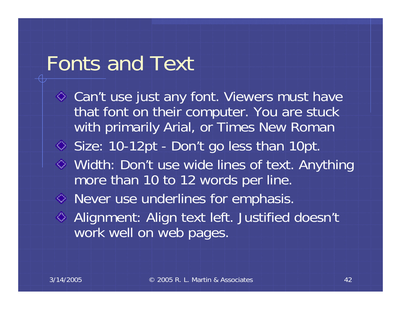## Fonts and Text

◆ Can't use just any font. Viewers must have that font on their computer. You are stuck with primarily Arial, or Times New Roman Size: 10-12pt - Don't go less than 10pt. Width: Don't use wide lines of text. Anything more than 10 to 12 words per line. Never use underlines for emphasis. ◆ Alignment: Align text left. Justified doesn't work well on web pages.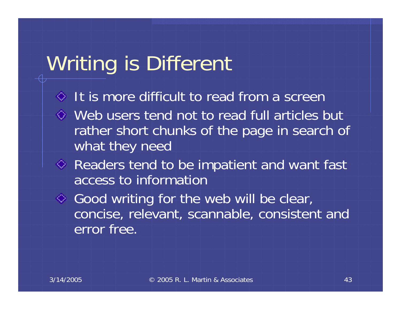## Writing is Different

- $\Diamond$  It is more difficult to read from a screen
- Web users tend not to read full articles but rather short chunks of the page in search of what they need
- ◆ Readers tend to be impatient and want fast access to information
- ◆ Good writing for the web will be clear, concise, relevant, scannable, consistent and error free.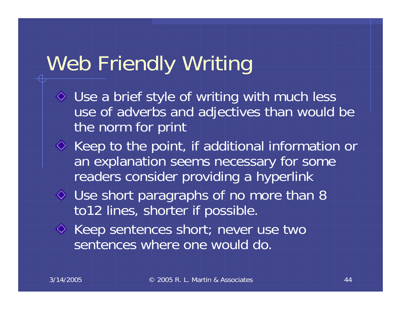# Web Friendly Writing

- Use a brief style of writing with much less use of adverbs and adjectives than would be the norm for print
- $\Diamond$  Keep to the point, if additional information or an explanation seems necessary for some readers consider providing a hyperlink
- $\Diamond$  Use short paragraphs of no more than 8 to12 lines, shorter if possible.
- ◆ Keep sentences short; never use two sentences where one would do.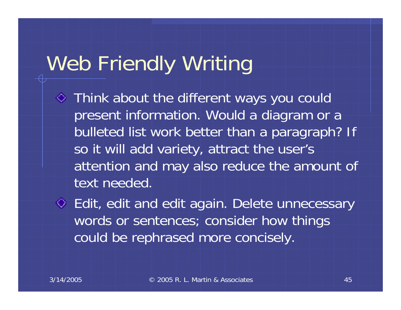# Web Friendly Writing

- Think about the different ways you could present information. Would a diagram or a bulleted list work better than a paragraph? If so it will add variety, attract the user's attention and may also reduce the amount of text needed.
- Edit, edit and edit again. Delete unnecessary words or sentences; consider how things could be rephrased more concisely.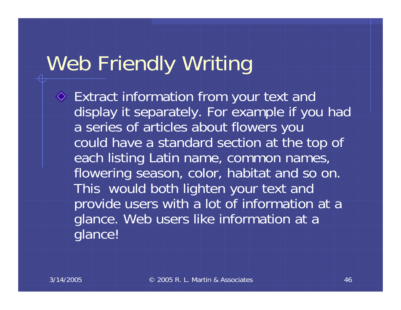# Web Friendly Writing

Extract information from your text and display it separately. For example if you had a series of articles about flowers you could have a standard section at the top of each listing Latin name, common names, flowering season, color, habitat and so on. This would both lighten your text and provide users with a lot of information at a glance. Web users like information at a glance!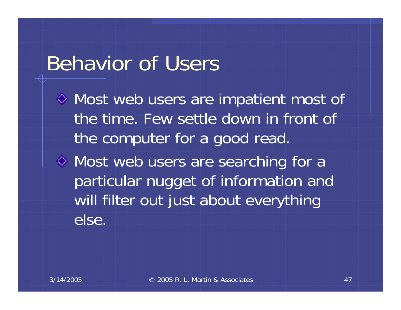### Behavior of Users

Most web users are impatient most of the time. Few settle down in front of the computer for a good read.

Most web users are searching for a particular nugget of information and will filter out just about everything else.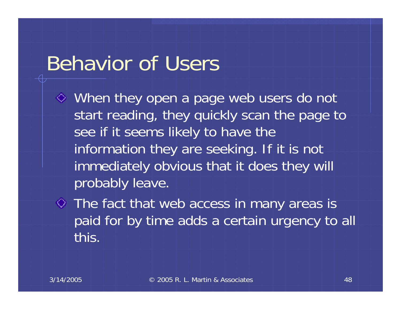### Behavior of Users

- When they open a page web users do not start reading, they quickly scan the page to see if it seems likely to have the information they are seeking. If it is not immediately obvious that it does they will probably leave.
- The fact that web access in many areas is paid for by time adds a certain urgency to all this.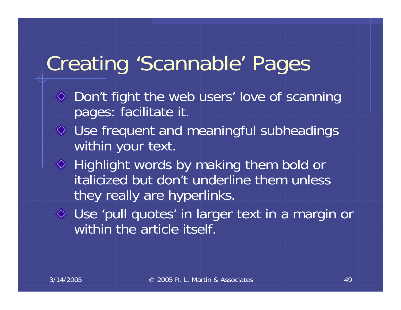# Creating 'Scannable' Pages

- ◆ Don't fight the web users' love of scanning pages: facilitate it.
- Use frequent and meaningful subheadings within your text.
- $\Diamond$  Highlight words by making them bold or italicized but don't underline them unless they really are hyperlinks.
- Use 'pull quotes' in larger text in a margin or within the article itself.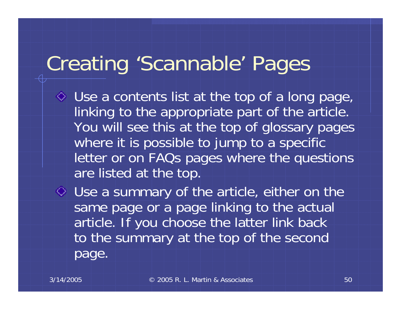# Creating 'Scannable' Pages

Use a contents list at the top of a long page, linking to the appropriate part of the article. You will see this at the top of glossary pages where it is possible to jump to a specific letter or on FAQs pages where the questions are listed at the top.

Use a summary of the article, either on the same page or a page linking to the actual article. If you choose the latter link back to the summary at the top of the second page.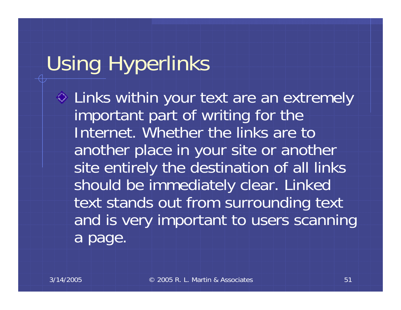# Using Hyperlinks

Links within your text are an extremely important part of writing for the Internet. Whether the links are to another place in your site or another site entirely the destination of all links should be immediately clear. Linked text stands out from surrounding text and is very important to users scanning a page.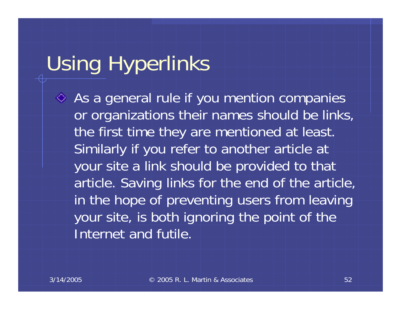# Using Hyperlinks

 $\Leftrightarrow$  As a general rule if you mention companies or organizations their names should be links, the first time they are mentioned at least. Similarly if you refer to another article at your site a link should be provided to that article. Saving links for the end of the article, in the hope of preventing users from leaving your site, is both ignoring the point of the Internet and futile.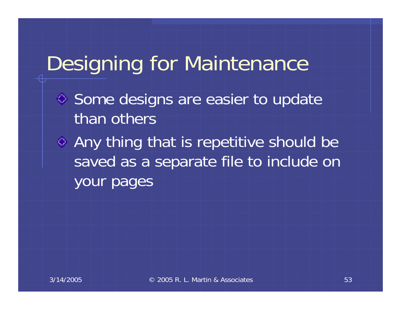# Designing for Maintenance

- ♦ Some designs are easier to update than others
- Any thing that is repetitive should be saved as a separate file to include on your pages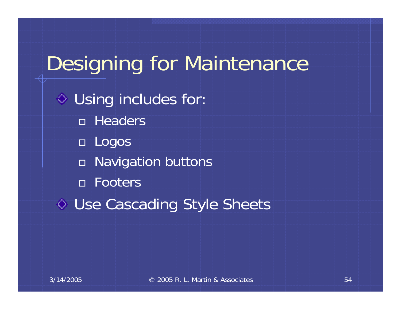# Designing for Maintenance  $\diamond$  Using includes for: Headers Logos Navigation buttons Footers ♦ Use Cascading Style Sheets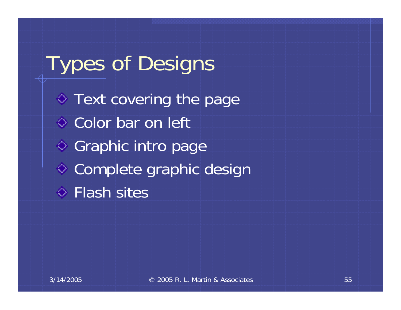Types of Designs  $\diamond$  Text covering the page ♦ Color bar on left ◆ Graphic intro page ♦ Complete graphic design **♦ Flash sites**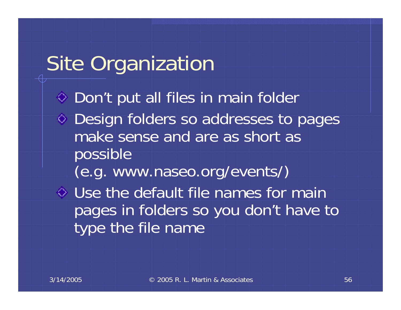## Site Organization

◆ Don't put all files in main folder Design folders so addresses to pages make sense and are as short as possible

(e.g. www.naseo.org/events/)

Use the default file names for main pages in folders so you don't have to type the file name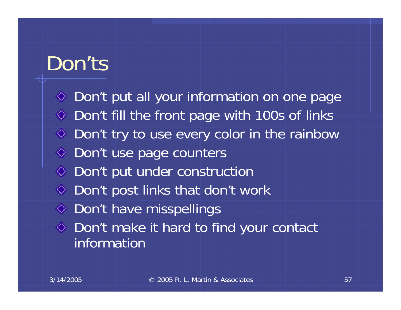### Don'ts

◆ Don't put all your information on one page  $\Diamond$  Don't fill the front page with 100s of links  $\Diamond$  Don't try to use every color in the rainbow ◆ Don't use page counters ♦ Don't put under construction  $\Diamond$  Don't post links that don't work ◆ Don't have misspellings Don't make it hard to find your contact information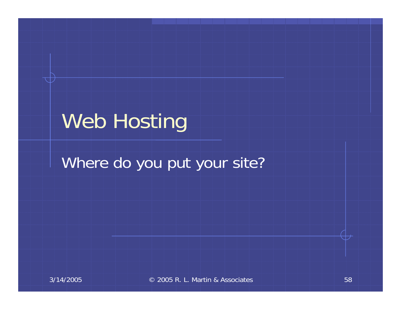## Web Hosting

#### Where do you put your site?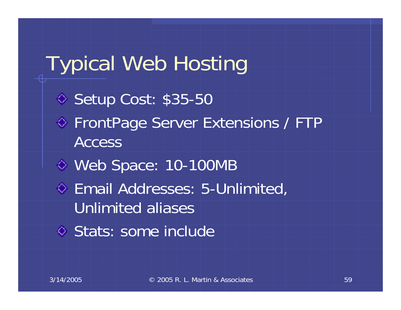Typical Web Hosting ◆ Setup Cost: \$35-50 ◆ FrontPage Server Extensions / FTP AccessWeb Space: 10-100MB Email Addresses: 5-Unlimited, Unlimited aliasesStats: some include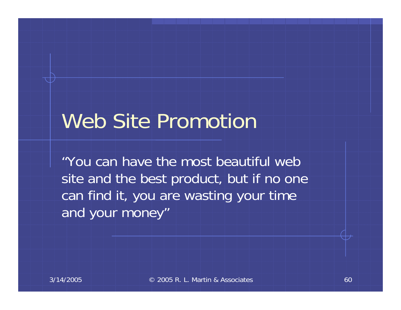## Web Site Promotion

"You can have the most beautiful web site and the best product, but if no one can find it, you are wasting your time and your money"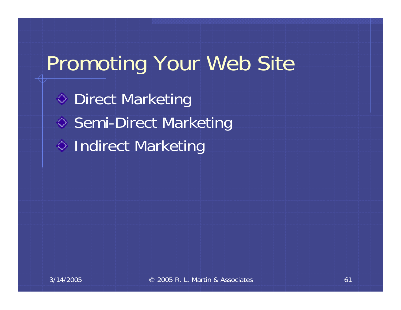# Promoting Your Web Site

**♦ Direct Marketing** ♦ Semi-Direct Marketing ♦ Indirect Marketing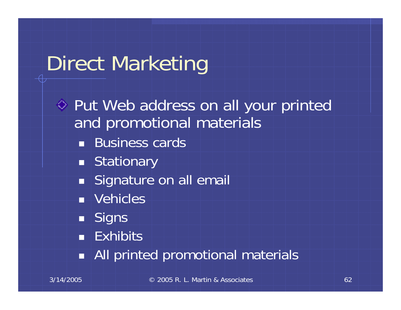# Direct Marketing

Put Web address on all your printed and promotional materials **Business cards** ■ Stationary **Signature on all email**  Vehicles  $\blacksquare$  Signs **Exhibits** All printed promotional materials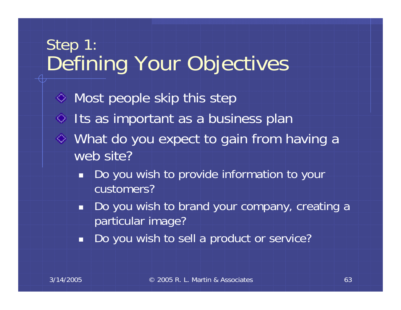#### Step 1: Defining Your Objectives

- $\Diamond$  Most people skip this step  $\Diamond$  Its as important as a business plan What do you expect to gain from having a web site?
	- ٠ Do you wish to provide information to your customers?
	- in d Do you wish to brand your company, creating a particular image?
	- Ť Do you wish to sell a product or service?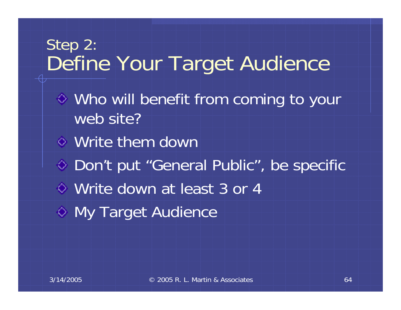#### Step 2: Define Your Target Audience

- Who will benefit from coming to your web site?
- Write them down
- ◆ Don't put "General Public", be specific
- Write down at least 3 or 4
- $\Diamond$  My Target Audience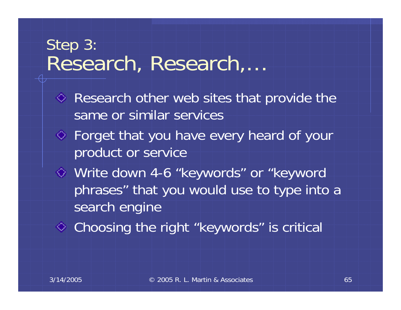#### Step 3: Research, Research,…

- $\Diamond$  Research other web sites that provide the same or similar services
- Forget that you have every heard of your product or service
- Write down 4-6 "keywords" or "keyword phrases" that you would use to type into a search engine
- Choosing the right "keywords" is critical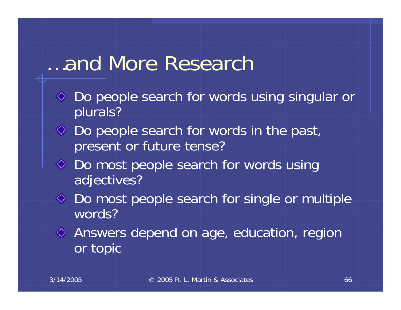### …and More Research

- Do people search for words using singular or plurals?
- $\Diamond$  Do people search for words in the past, present or future tense?
- ◆ Do most people search for words using adjectives?
- $\Diamond$  Do most people search for single or multiple words?
- Answers depend on age, education, region or topic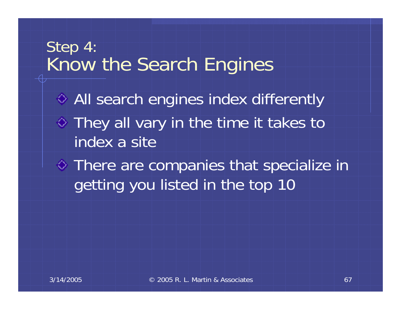#### Step 4: Know the Search Engines

**♦ All search engines index differently**  $\Diamond$  They all vary in the time it takes to index a site

There are companies that specialize in getting you listed in the top 10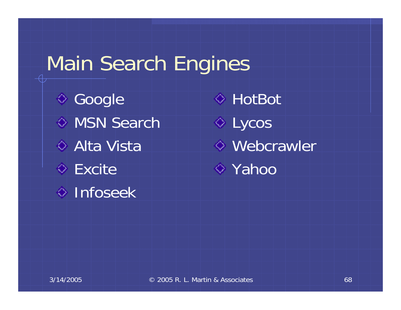## Main Search Engines

**♦ Google** ◆ MSN Search ◆ Alta Vista **Excite**  $\Diamond$  Infoseek

HotBot $\Diamond$  Lycos Webcrawler  $\diamond$  Yahoo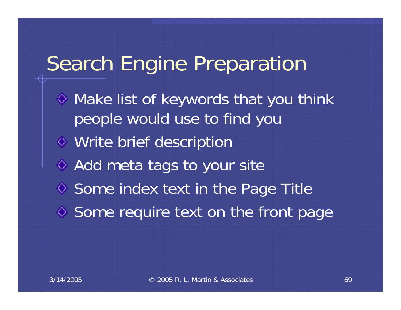## Search Engine Preparation

- Make list of keywords that you think people would use to find you
- Write brief description
- ◆ Add meta tags to your site
- $\diamond$  Some index text in the Page Title
- ♦ Some require text on the front page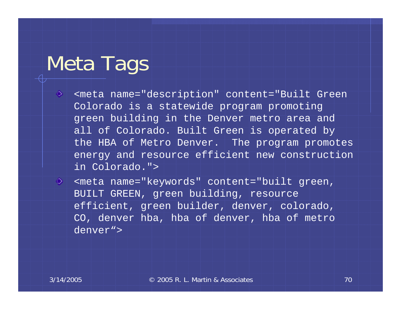## Meta Tags

- ♦ <meta name="description" content="Built Green Colorado is a statewide program promoting green building in the Denver metro area and all of Colorado. Built Green is operated by the HBA of Metro Denver. The program promotes energy and resource efficient new construction in Colorado.">
- ◈ <meta name="keywords" content="built green, BUILT GREEN, green building, resource efficient, green builder, denver, colorado, CO, denver hba, hba of denver, hba of metro denver">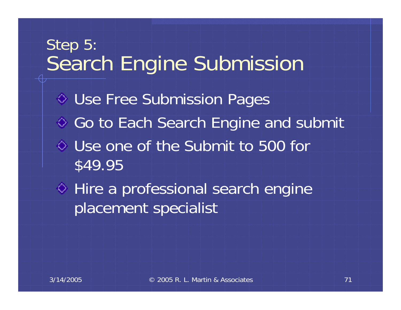# Step 5: Search Engine Submission Use Free Submission Pages ♦ Go to Each Search Engine and submit Use one of the Submit to 500 for \$49.95 ♦ Hire a professional search engine placement specialist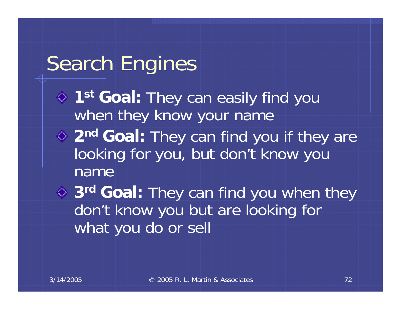## Search Engines

- **1st Goal:** They can easily find you when they know your name **2n<sup>d</sup> Goal:** They can find you if they are
- looking for you, but don't know you name

**3r<sup>d</sup> Goal:** They can find you when they don't know you but are looking for what you do or sell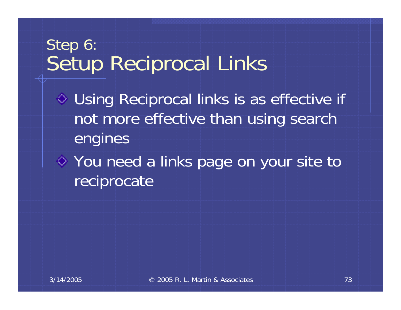#### Step 6: Setup Reciprocal Links

- Using Reciprocal links is as effective if not more effective than using search engines
- You need a links page on your site to reciprocate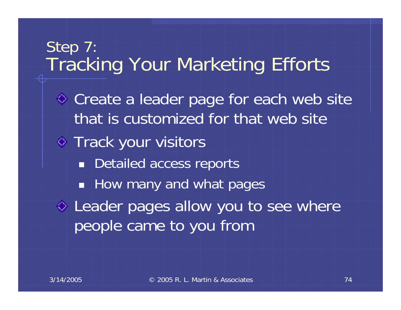# Step 7: Tracking Your Marketing Efforts Create a leader page for each web site that is customized for that web site**♦ Track your visitors Detailed access reports How many and what pages**  $\diamond$  Leader pages allow you to see where people came to you from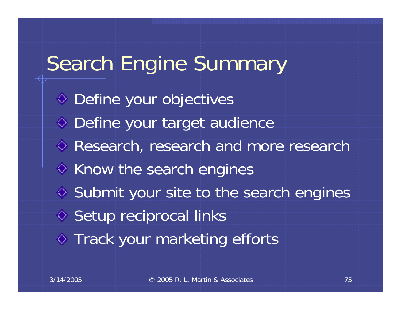# Search Engine Summary

◆ Define your objectives Define your target audience **♦ Research, research and more research**  $\Diamond$  Know the search engines  $\diamond$  Submit your site to the search engines ♦ Setup reciprocal links  $\Diamond$  Track your marketing efforts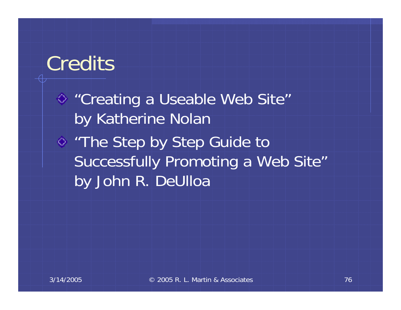### **Credits**

◆ "Creating a Useable Web Site" by Katherine Nolan "The Step by Step Guide to Successfully Promoting a Web Site" by John R. DeUlloa